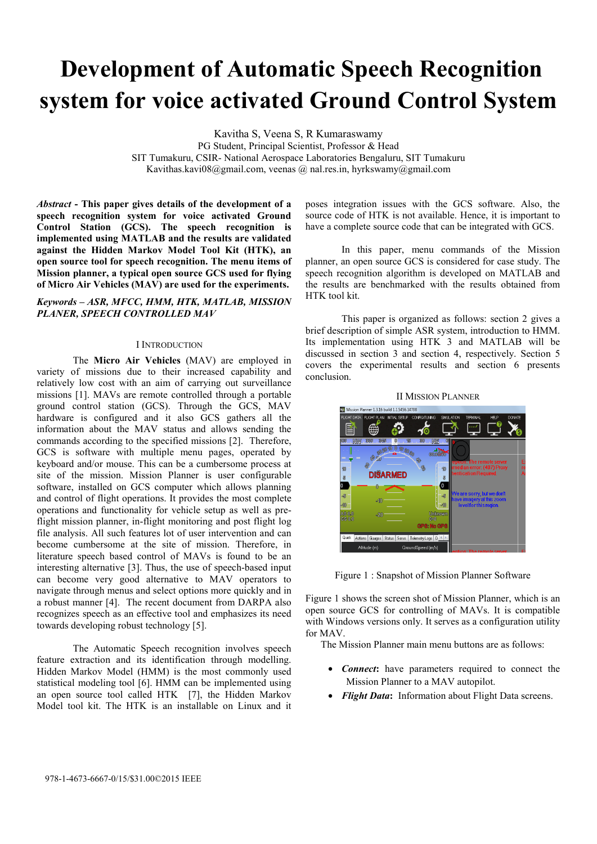# **Development of Automatic Speech Recognition system for voice activated Ground Control System**

Kavitha S, Veena S, R Kumaraswamy

PG Student, Principal Scientist, Professor & Head SIT Tumakuru, CSIR- National Aerospace Laboratories Bengaluru, SIT Tumakuru Kavithas.kavi08@gmail.com, veenas @ nal.res.in, hyrkswamy@gmail.com

*Abstract* **- This paper gives details of the development of a speech recognition system for voice activated Ground Control Station (GCS). The speech recognition is implemented using MATLAB and the results are validated against the Hidden Markov Model Tool Kit (HTK), an open source tool for speech recognition. The menu items of Mission planner, a typical open source GCS used for flying of Micro Air Vehicles (MAV) are used for the experiments.** 

# *Keywords – ASR, MFCC, HMM, HTK, MATLAB, MISSION PLANER, SPEECH CONTROLLED MAV*

## I INTRODUCTION

The **Micro Air Vehicles** (MAV) are employed in variety of missions due to their increased capability and relatively low cost with an aim of carrying out surveillance missions [1]. MAVs are remote controlled through a portable ground control station (GCS). Through the GCS, MAV hardware is configured and it also GCS gathers all the information about the MAV status and allows sending the commands according to the specified missions [2]. Therefore, GCS is software with multiple menu pages, operated by keyboard and/or mouse. This can be a cumbersome process at site of the mission. Mission Planner is user configurable software, installed on GCS computer which allows planning and control of flight operations. It provides the most complete operations and functionality for vehicle setup as well as preflight mission planner, in-flight monitoring and post flight log file analysis. All such features lot of user intervention and can become cumbersome at the site of mission. Therefore, in literature speech based control of MAVs is found to be an interesting alternative [3]. Thus, the use of speech-based input can become very good alternative to MAV operators to navigate through menus and select options more quickly and in a robust manner [4]. The recent document from DARPA also recognizes speech as an effective tool and emphasizes its need towards developing robust technology [5].

The Automatic Speech recognition involves speech feature extraction and its identification through modelling. Hidden Markov Model (HMM) is the most commonly used statistical modeling tool [6]. HMM can be implemented using an open source tool called HTK [7], the Hidden Markov Model tool kit. The HTK is an installable on Linux and it

poses integration issues with the GCS software. Also, the source code of HTK is not available. Hence, it is important to have a complete source code that can be integrated with GCS.

In this paper, menu commands of the Mission planner, an open source GCS is considered for case study. The speech recognition algorithm is developed on MATLAB and the results are benchmarked with the results obtained from HTK tool kit.

 This paper is organized as follows: section 2 gives a brief description of simple ASR system, introduction to HMM. Its implementation using HTK 3 and MATLAB will be discussed in section 3 and section 4, respectively. Section 5 covers the experimental results and section 6 presents conclusion.



Figure 1 : Snapshot of Mission Planner Software

Figure 1 shows the screen shot of Mission Planner, which is an open source GCS for controlling of MAVs. It is compatible with Windows versions only. It serves as a configuration utility for MAV.

The Mission Planner main menu buttons are as follows:

- *Connect***:** have parameters required to connect the Mission Planner to a MAV autopilot.
- *Flight Data***:** Information about Flight Data screens.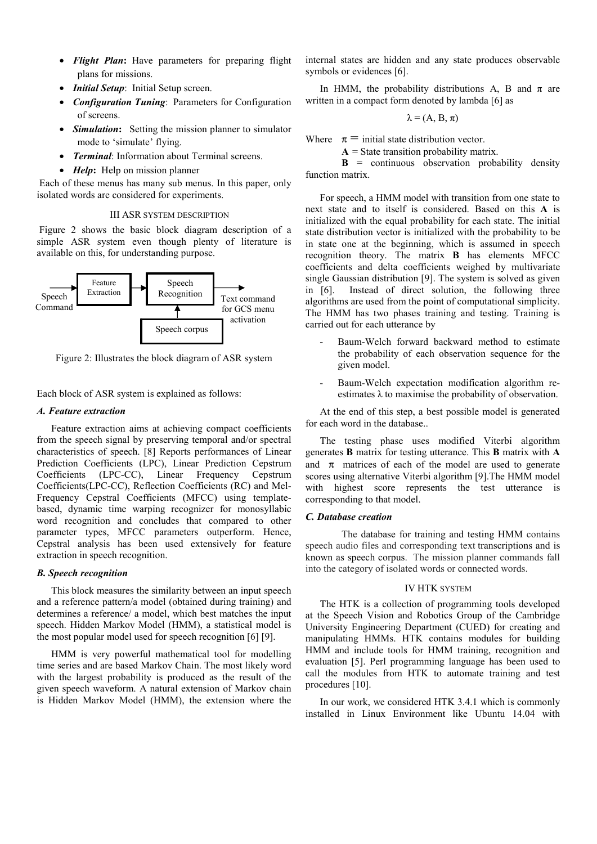- *Flight Plan***:** Have parameters for preparing flight plans for missions.
- *Initial Setup*: Initial Setup screen.
- *Configuration Tuning*: Parameters for Configuration of screens.
- *Simulation***:** Setting the mission planner to simulator mode to 'simulate' flying.
- *Terminal*: Information about Terminal screens.
- *Help*: Help on mission planner

 Each of these menus has many sub menus. In this paper, only isolated words are considered for experiments.

## III ASR SYSTEM DESCRIPTION

 Figure 2 shows the basic block diagram description of a simple ASR system even though plenty of literature is available on this, for understanding purpose.



Figure 2: Illustrates the block diagram of ASR system

Each block of ASR system is explained as follows:

## *A. Feature extraction*

 Feature extraction aims at achieving compact coefficients from the speech signal by preserving temporal and/or spectral characteristics of speech. [8] Reports performances of Linear Prediction Coefficients (LPC), Linear Prediction Cepstrum Coefficients (LPC-CC), Linear Frequency Cepstrum Coefficients(LPC-CC), Reflection Coefficients (RC) and Mel-Frequency Cepstral Coefficients (MFCC) using templatebased, dynamic time warping recognizer for monosyllabic word recognition and concludes that compared to other parameter types, MFCC parameters outperform. Hence, Cepstral analysis has been used extensively for feature extraction in speech recognition.

#### *B. Speech recognition*

 This block measures the similarity between an input speech and a reference pattern/a model (obtained during training) and determines a reference/ a model, which best matches the input speech. Hidden Markov Model (HMM), a statistical model is the most popular model used for speech recognition [6] [9].

 HMM is very powerful mathematical tool for modelling time series and are based Markov Chain. The most likely word with the largest probability is produced as the result of the given speech waveform. A natural extension of Markov chain is Hidden Markov Model (HMM), the extension where the

internal states are hidden and any state produces observable symbols or evidences [6].

In HMM, the probability distributions A, B and  $\pi$  are written in a compact form denoted by lambda [6] as

$$
\lambda = (A, B, \pi)
$$

Where  $\pi$  = initial state distribution vector.

 $A =$  State transition probability matrix.

 $\mathbf{B}$  = continuous observation probability density function matrix.

 For speech, a HMM model with transition from one state to next state and to itself is considered. Based on this **A** is initialized with the equal probability for each state. The initial state distribution vector is initialized with the probability to be in state one at the beginning, which is assumed in speech recognition theory. The matrix **B** has elements MFCC coefficients and delta coefficients weighed by multivariate single Gaussian distribution [9]. The system is solved as given in [6]. Instead of direct solution, the following three algorithms are used from the point of computational simplicity. The HMM has two phases training and testing. Training is carried out for each utterance by

- Baum-Welch forward backward method to estimate the probability of each observation sequence for the given model.
- Baum-Welch expectation modification algorithm reestimates  $\lambda$  to maximise the probability of observation.

 At the end of this step, a best possible model is generated for each word in the database..

 The testing phase uses modified Viterbi algorithm generates **B** matrix for testing utterance. This **B** matrix with **A** and  $\pi$  matrices of each of the model are used to generate scores using alternative Viterbi algorithm [9].The HMM model with highest score represents the test utterance is corresponding to that model.

#### *C. Database creation*

The database for training and testing HMM contains speech audio files and corresponding text transcriptions and is known as speech corpus. The mission planner commands fall into the category of isolated words or connected words.

### IV HTK SYSTEM

 The HTK is a collection of programming tools developed at the Speech Vision and Robotics Group of the Cambridge University Engineering Department (CUED) for creating and manipulating HMMs. HTK contains modules for building HMM and include tools for HMM training, recognition and evaluation [5]. Perl programming language has been used to call the modules from HTK to automate training and test procedures [10].

 In our work, we considered HTK 3.4.1 which is commonly installed in Linux Environment like Ubuntu 14.04 with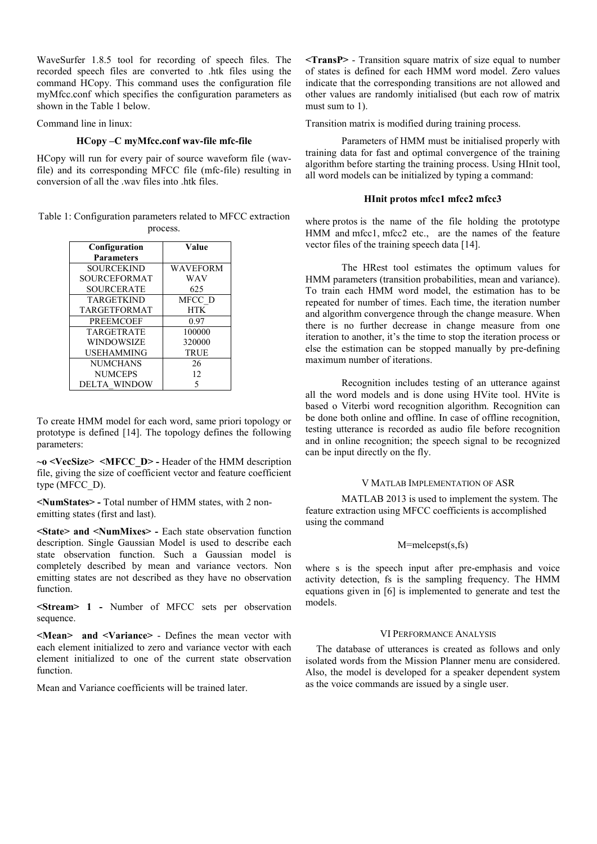WaveSurfer 1.8.5 tool for recording of speech files. The recorded speech files are converted to .htk files using the command HCopy. This command uses the configuration file myMfcc.conf which specifies the configuration parameters as shown in the Table 1 below.

Command line in linux:

# **HCopy –C myMfcc.conf wav-file mfc-file**

HCopy will run for every pair of source waveform file (wavfile) and its corresponding MFCC file (mfc-file) resulting in conversion of all the .wav files into .htk files.

Table 1: Configuration parameters related to MFCC extraction process.

| Configuration       | Value           |
|---------------------|-----------------|
| <b>Parameters</b>   |                 |
| SOURCEKIND          | <b>WAVEFORM</b> |
| <b>SOURCEFORMAT</b> | WAV             |
| <b>SOURCERATE</b>   | 625             |
| <b>TARGETKIND</b>   | MFCC D          |
| <b>TARGETFORMAT</b> | <b>HTK</b>      |
| <b>PREEMCOEF</b>    | 0.97            |
| <b>TARGETRATE</b>   | 100000          |
| WINDOWSIZE          | 320000          |
| <b>USEHAMMING</b>   | <b>TRUE</b>     |
| <b>NUMCHANS</b>     | 26              |
| <b>NUMCEPS</b>      | 12              |
| DELTA WINDOW        |                 |

To create HMM model for each word, same priori topology or prototype is defined [14]. The topology defines the following parameters:

**~o <VecSize> <MFCC\_D> -** Header of the HMM description file, giving the size of coefficient vector and feature coefficient type (MFCC\_D).

**<NumStates> -** Total number of HMM states, with 2 nonemitting states (first and last).

**<State> and <NumMixes> -** Each state observation function description. Single Gaussian Model is used to describe each state observation function. Such a Gaussian model is completely described by mean and variance vectors. Non emitting states are not described as they have no observation function.

**<Stream> 1 -** Number of MFCC sets per observation sequence.

**<Mean> and <Variance>** - Defines the mean vector with each element initialized to zero and variance vector with each element initialized to one of the current state observation function.

Mean and Variance coefficients will be trained later.

**<TransP>** - Transition square matrix of size equal to number of states is defined for each HMM word model. Zero values indicate that the corresponding transitions are not allowed and other values are randomly initialised (but each row of matrix must sum to 1).

Transition matrix is modified during training process.

 Parameters of HMM must be initialised properly with training data for fast and optimal convergence of the training algorithm before starting the training process. Using HInit tool, all word models can be initialized by typing a command:

## **HInit protos mfcc1 mfcc2 mfcc3**

where protos is the name of the file holding the prototype HMM and mfcc1, mfcc2 etc., are the names of the feature vector files of the training speech data [14].

 The HRest tool estimates the optimum values for HMM parameters (transition probabilities, mean and variance). To train each HMM word model, the estimation has to be repeated for number of times. Each time, the iteration number and algorithm convergence through the change measure. When there is no further decrease in change measure from one iteration to another, it's the time to stop the iteration process or else the estimation can be stopped manually by pre-defining maximum number of iterations.

 Recognition includes testing of an utterance against all the word models and is done using HVite tool. HVite is based o Viterbi word recognition algorithm. Recognition can be done both online and offline. In case of offline recognition, testing utterance is recorded as audio file before recognition and in online recognition; the speech signal to be recognized can be input directly on the fly.

## V MATLAB IMPLEMENTATION OF ASR

MATLAB 2013 is used to implement the system. The feature extraction using MFCC coefficients is accomplished using the command

# M=melcepst(s,fs)

where s is the speech input after pre-emphasis and voice activity detection, fs is the sampling frequency. The HMM equations given in [6] is implemented to generate and test the models.

## VI PERFORMANCE ANALYSIS

The database of utterances is created as follows and only isolated words from the Mission Planner menu are considered. Also, the model is developed for a speaker dependent system as the voice commands are issued by a single user.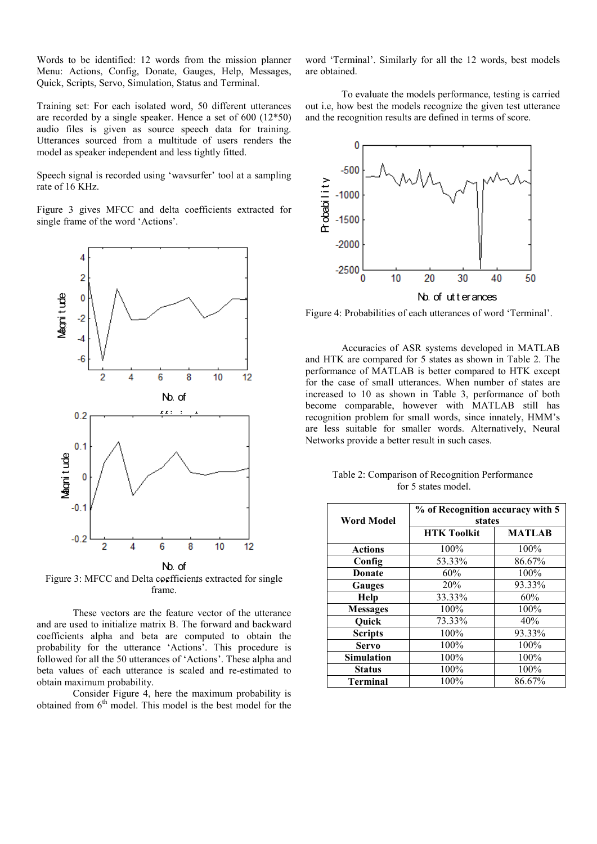Words to be identified: 12 words from the mission planner Menu: Actions, Config, Donate, Gauges, Help, Messages, Quick, Scripts, Servo, Simulation, Status and Terminal.

Training set: For each isolated word, 50 different utterances are recorded by a single speaker. Hence a set of 600 (12\*50) audio files is given as source speech data for training. Utterances sourced from a multitude of users renders the model as speaker independent and less tightly fitted.

Speech signal is recorded using 'wavsurfer' tool at a sampling rate of 16 KHz.

Figure 3 gives MFCC and delta coefficients extracted for single frame of the word 'Actions'.



Figure 3: MFCC and Delta coefficients extracted for single<br>frame frame.

These vectors are the feature vector of the utterance and are used to initialize matrix B. The forward and backward coefficients alpha and beta are computed to obtain the probability for the utterance 'Actions'. This procedure is followed for all the 50 utterances of 'Actions'. These alpha and beta values of each utterance is scaled and re-estimated to obtain maximum probability.

Consider Figure 4, here the maximum probability is obtained from  $6<sup>th</sup>$  model. This model is the best model for the

word 'Terminal'. Similarly for all the 12 words, best models are obtained.

To evaluate the models performance, testing is carried out i.e, how best the models recognize the given test utterance and the recognition results are defined in terms of score.



Figure 4: Probabilities of each utterances of word 'Terminal'.

Accuracies of ASR systems developed in MATLAB and HTK are compared for 5 states as shown in Table 2. The performance of MATLAB is better compared to HTK except for the case of small utterances. When number of states are increased to 10 as shown in Table 3, performance of both become comparable, however with MATLAB still has recognition problem for small words, since innately, HMM's are less suitable for smaller words. Alternatively, Neural Networks provide a better result in such cases.

Table 2: Comparison of Recognition Performance for 5 states model.

|                   | % of Recognition accuracy with 5 |               |  |
|-------------------|----------------------------------|---------------|--|
| Word Model        | states                           |               |  |
|                   | <b>HTK Toolkit</b>               | <b>MATLAB</b> |  |
| <b>Actions</b>    | 100%                             | 100%          |  |
| Config            | 53.33%                           | 86.67%        |  |
| <b>Donate</b>     | 60%                              | 100%          |  |
| <b>Gauges</b>     | 20%                              | 93.33%        |  |
| Help              | 33.33%                           | 60%           |  |
| <b>Messages</b>   | 100%                             | 100%          |  |
| Quick             | 73.33%                           | 40%           |  |
| <b>Scripts</b>    | 100%                             | 93.33%        |  |
| <b>Servo</b>      | 100%                             | 100%          |  |
| <b>Simulation</b> | 100%                             | 100%          |  |
| <b>Status</b>     | 100%                             | 100%          |  |
| <b>Terminal</b>   | 100%                             | 86.67%        |  |